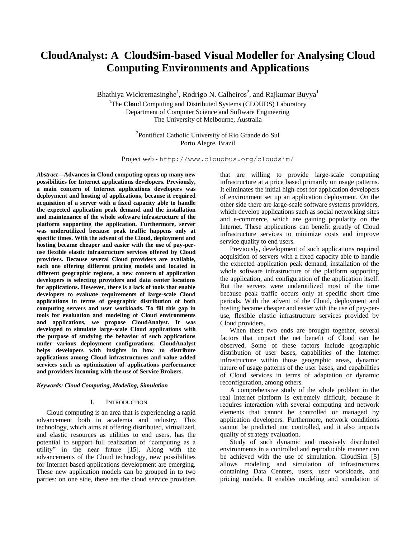# **CloudAnalyst: A CloudSim-based Visual Modeller for Analysing Cloud Computing Environments and Applications**

Bhathiya Wickremasinghe<sup>1</sup>, Rodrigo N. Calheiros<sup>2</sup>, and Rajkumar Buyya<sup>1</sup>

<sup>1</sup>The **Clou**d Computing and **D**istributed **S**ystems (CLOUDS) Laboratory Department of Computer Science and Software Engineering The University of Melbourne, Australia

> <sup>2</sup>Pontifical Catholic University of Rio Grande do Sul Porto Alegre, Brazil

Project web - http://www.cloudbus.org/cloudsim/

*Abstract***—Advances in Cloud computing opens up many new possibilities for Internet applications developers. Previously, a main concern of Internet applications developers was deployment and hosting of applications, because it required acquisition of a server with a fixed capacity able to handle the expected application peak demand and the installation and maintenance of the whole software infrastructure of the platform supporting the application. Furthermore, server was underutilized because peak traffic happens only at specific times. With the advent of the Cloud, deployment and hosting became cheaper and easier with the use of pay-peruse flexible elastic infrastructure services offered by Cloud providers. Because several Cloud providers are available, each one offering different pricing models and located in different geographic regions, a new concern of application developers is selecting providers and data center locations for applications. However, there is a lack of tools that enable developers to evaluate requirements of large-scale Cloud applications in terms of geographic distribution of both computing servers and user workloads. To fill this gap in tools for evaluation and modeling of Cloud environments and applications, we propose CloudAnalyst. It was developed to simulate large-scale Cloud applications with the purpose of studying the behavior of such applications under various deployment configurations. CloudAnalyst helps developers with insights in how to distribute applications among Cloud infrastructures and value added services such as optimization of applications performance and providers incoming with the use of Service Brokers.**

#### *Keywords: Cloud Computing, Modeling, Simulation*

#### I. INTRODUCTION

Cloud computing is an area that is experiencing a rapid advancement both in academia and industry. This technology, which aims at offering distributed, virtualized, and elastic resources as utilities to end users, has the potential to support full realization of "computing as a utility" in the near future [\[15\].](#page-6-0) Along with the advancements of the Cloud technology, new possibilities for Internet-based applications development are emerging. These new application models can be grouped in to two parties: on one side, there are the cloud service providers

that are willing to provide large-scale computing infrastructure at a price based primarily on usage patterns. It eliminates the initial high-cost for application developers of environment set up an application deployment. On the other side there are large-scale software systems providers, which develop applications such as social networking sites and e-commerce, which are gaining popularity on the Internet. These applications can benefit greatly of Cloud infrastructure services to minimize costs and improve service quality to end users.

Previously, development of such applications required acquisition of servers with a fixed capacity able to handle the expected application peak demand, installation of the whole software infrastructure of the platform supporting the application, and configuration of the application itself. But the servers were underutilized most of the time because peak traffic occurs only at specific short time periods. With the advent of the Cloud, deployment and hosting became cheaper and easier with the use of pay-peruse, flexible elastic infrastructure services provided by Cloud providers.

When these two ends are brought together, several factors that impact the net benefit of Cloud can be observed. Some of these factors include geographic distribution of user bases, capabilities of the Internet infrastructure within those geographic areas, dynamic nature of usage patterns of the user bases, and capabilities of Cloud services in terms of adaptation or dynamic reconfiguration, among others.

A comprehensive study of the whole problem in the real Internet platform is extremely difficult, because it requires interaction with several computing and network elements that cannot be controlled or managed by application developers. Furthermore, network conditions cannot be predicted nor controlled, and it also impacts quality of strategy evaluation.

Study of such dynamic and massively distributed environments in a controlled and reproducible manner can be achieved with the use of simulation. CloudSim [\[5\]](#page-6-1) allows modeling and simulation of infrastructures containing Data Centers, users, user workloads, and pricing models. It enables modeling and simulation of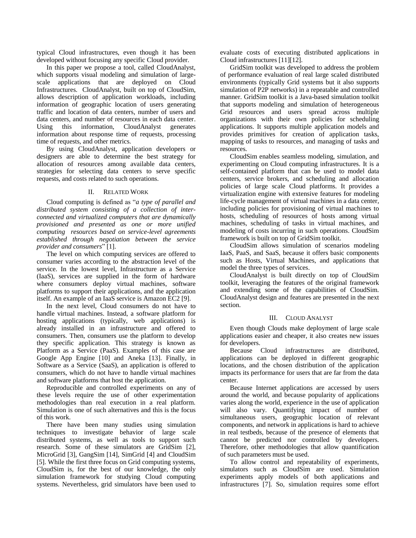typical Cloud infrastructures, even though it has been developed without focusing any specific Cloud provider.

In this paper we propose a tool, called CloudAnalyst, which supports visual modeling and simulation of largescale applications that are deployed on Cloud Infrastructures. CloudAnalyst, built on top of CloudSim, allows description of application workloads, including information of geographic location of users generating traffic and location of data centers, number of users and data centers, and number of resources in each data center. Using this information, CloudAnalyst generates information about response time of requests, processing time of requests, and other metrics.

By using CloudAnalyst, application developers or designers are able to determine the best strategy for allocation of resources among available data centers, strategies for selecting data centers to serve specific requests, and costs related to such operations.

### II. RELATED WORK

Cloud computing is defined as "*a type of parallel and distributed system consisting of a collection of interconnected and virtualized computers that are dynamically provisioned and presented as one or more unified computing resources based on service-level agreements established through negotiation between the service provider and consumers*" [\[1\].](#page-6-2)

The level on which computing services are offered to consumer varies according to the abstraction level of the service. In the lowest level, Infrastructure as a Service (IaaS), services are supplied in the form of hardware where consumers deploy virtual machines, software platforms to support their applications, and the application itself. An example of an IaaS service is Amazon EC2 [\[9\].](#page-6-3)

In the next level, Cloud consumers do not have to handle virtual machines. Instead, a software platform for hosting applications (typically, web applications) is already installed in an infrastructure and offered to consumers. Then, consumers use the platform to develop they specific application. This strategy is known as Platform as a Service (PaaS). Examples of this case are Google App Engine [\[10\]](#page-6-4) and Aneka [\[13\].](#page-6-5) Finally, in Software as a Service (SaaS), an application is offered to consumers, which do not have to handle virtual machines and software platforms that host the application.

Reproducible and controlled experiments on any of these levels require the use of other experimentation methodologies than real execution in a real platform. Simulation is one of such alternatives and this is the focus of this work.

There have been many studies using simulation techniques to investigate behavior of large scale distributed systems, as well as tools to support such research. Some of these simulators are GridSim [2], MicroGrid [3], GangSim [\[14\],](#page-6-6) SimGrid [4] and CloudSim [5]. While the first three focus on Grid computing systems, CloudSim is, for the best of our knowledge, the only simulation framework for studying Cloud computing systems. Nevertheless, grid simulators have been used to

evaluate costs of executing distributed applications in Cloud infrastructures [\[11\]\[12\].](#page-6-7)

GridSim toolkit was developed to address the problem of performance evaluation of real large scaled distributed environments (typically Grid systems but it also supports simulation of P2P networks) in a repeatable and controlled manner. GridSim toolkit is a Java-based simulation toolkit that supports modeling and simulation of heterogeneous Grid resources and users spread across multiple organizations with their own policies for scheduling applications. It supports multiple application models and provides primitives for creation of application tasks, mapping of tasks to resources, and managing of tasks and resources.

CloudSim enables seamless modeling, simulation, and experimenting on Cloud computing infrastructures. It is a self-contained platform that can be used to model data centers, service brokers, and scheduling and allocation policies of large scale Cloud platforms. It provides a virtualization engine with extensive features for modeling life-cycle management of virtual machines in a data center, including policies for provisioning of virtual machines to hosts, scheduling of resources of hosts among virtual machines, scheduling of tasks in virtual machines, and modeling of costs incurring in such operations. CloudSim framework is built on top of GridSim toolkit.

CloudSim allows simulation of scenarios modeling IaaS, PaaS, and SaaS, because it offers basic components such as Hosts, Virtual Machines, and applications that model the three types of services.

CloudAnalyst is built directly on top of CloudSim toolkit, leveraging the features of the original framework and extending some of the capabilities of CloudSim. CloudAnalyst design and features are presented in the next section.

## III. CLOUD ANALYST

Even though Clouds make deployment of large scale applications easier and cheaper, it also creates new issues for developers.

Because Cloud infrastructures are distributed, applications can be deployed in different geographic locations, and the chosen distribution of the application impacts its performance for users that are far from the data center.

Because Internet applications are accessed by users around the world, and because popularity of applications varies along the world, experience in the use of application will also vary. Quantifying impact of number of simultaneous users, geographic location of relevant components, and network in applications is hard to achieve in real testbeds, because of the presence of elements that cannot be predicted nor controlled by developers. Therefore, other methodologies that allow quantification of such parameters must be used.

To allow control and repeatability of experiments, simulators such as CloudSim are used. Simulation experiments apply models of both applications and infrastructures [\[7\].](#page-6-8) So, simulation requires some effort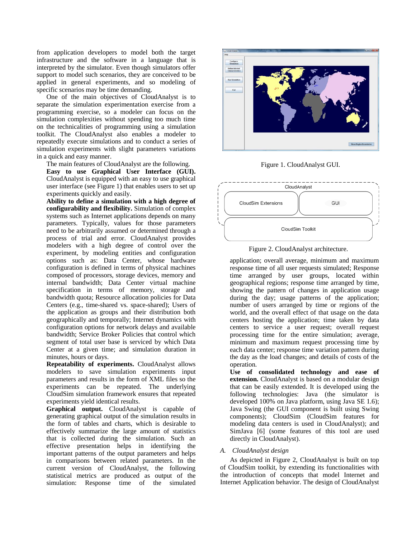from application developers to model both the target infrastructure and the software in a language that is interpreted by the simulator. Even though simulators offer support to model such scenarios, they are conceived to be applied in general experiments, and so modeling of specific scenarios may be time demanding.

One of the main objectives of CloudAnalyst is to separate the simulation experimentation exercise from a programming exercise, so a modeler can focus on the simulation complexities without spending too much time on the technicalities of programming using a simulation toolkit. The CloudAnalyst also enables a modeler to repeatedly execute simulations and to conduct a series of simulation experiments with slight parameters variations in a quick and easy manner.

The main features of CloudAnalyst are the following.

**Easy to use Graphical User Interface (GUI).**  CloudAnalyst is equipped with an easy to use graphical user interface (see Figure 1) that enables users to set up experiments quickly and easily.

**Ability to define a simulation with a high degree of configurability and flexibility.** Simulation of complex systems such as Internet applications depends on many parameters. Typically, values for those parameters need to be arbitrarily assumed or determined through a process of trial and error. CloudAnalyst provides modelers with a high degree of control over the experiment, by modeling entities and configuration options such as: Data Center, whose hardware configuration is defined in terms of physical machines composed of processors, storage devices, memory and internal bandwidth; Data Center virtual machine specification in terms of memory, storage and bandwidth quota; Resource allocation policies for Data Centers (e.g., time-shared vs. space-shared); Users of the application as groups and their distribution both geographically and temporally; Internet dynamics with configuration options for network delays and available bandwidth; Service Broker Policies that control which segment of total user base is serviced by which Data Center at a given time; and simulation duration in minutes, hours or days.

**Repeatability of experiments.** CloudAnalyst allows modelers to save simulation experiments input parameters and results in the form of XML files so the experiments can be repeated. The underlying CloudSim simulation framework ensures that repeated experiments yield identical results.

**Graphical output.** CloudAnalyst is capable of generating graphical output of the simulation results in the form of tables and charts, which is desirable to effectively summarize the large amount of statistics that is collected during the simulation. Such an effective presentation helps in identifying the important patterns of the output parameters and helps in comparisons between related parameters. In the current version of CloudAnalyst, the following statistical metrics are produced as output of the simulation: Response time of the simulated



Figure 1. CloudAnalyst GUI.



Figure 2. CloudAnalyst architecture.

application; overall average, minimum and maximum response time of all user requests simulated; Response time arranged by user groups, located within geographical regions; response time arranged by time, showing the pattern of changes in application usage during the day; usage patterns of the application; number of users arranged by time or regions of the world, and the overall effect of that usage on the data centers hosting the application; time taken by data centers to service a user request; overall request processing time for the entire simulation; average, minimum and maximum request processing time by each data center; response time variation pattern during the day as the load changes; and details of costs of the operation.

**Use of consolidated technology and ease of extension.** CloudAnalyst is based on a modular design that can be easily extended. It is developed using the following technologies: Java (the simulator is developed 100% on Java platform, using Java SE 1.6); Java Swing (the GUI component is built using Swing components); CloudSim (CloudSim features for modeling data centers is used in CloudAnalyst); and SimJava [\[6\]](#page-6-9) (some features of this tool are used directly in CloudAnalyst).

## *A. CloudAnalyst design*

As depicted in Figure 2, CloudAnalyst is built on top of CloudSim toolkit, by extending its functionalities with the introduction of concepts that model Internet and Internet Application behavior. The design of CloudAnalyst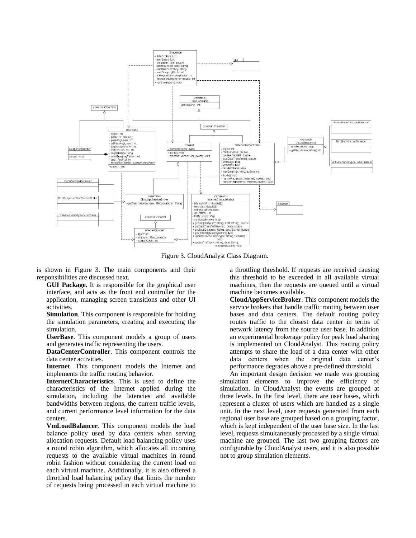

Figure 3. CloudAnalyst Class Diagram.

is shown in Figure 3. The main components and their responsibilities are discussed next.

**GUI Package.** It is responsible for the graphical user interface, and acts as the front end controller for the application, managing screen transitions and other UI activities.

**Simulation**. This component is responsible for holding the simulation parameters, creating and executing the simulation.

**UserBase**. This component models a group of users and generates traffic representing the users.

**DataCenterController**. This component controls the data center activities.

**Internet**. This component models the Internet and implements the traffic routing behavior.

**InternetCharacteristics**. This is used to define the characteristics of the Internet applied during the simulation, including the latencies and available bandwidths between regions, the current traffic levels, and current performance level information for the data centers.

**VmLoadBalancer**. This component models the load balance policy used by data centers when serving allocation requests. Default load balancing policy uses a round robin algorithm, which allocates all incoming requests to the available virtual machines in round robin fashion without considering the current load on each virtual machine. Additionally, it is also offered a throttled load balancing policy that limits the number of requests being processed in each virtual machine to a throttling threshold. If requests are received causing this threshold to be exceeded in all available virtual machines, then the requests are queued until a virtual machine becomes available.

**CloudAppServiceBroker**. This component models the service brokers that handle traffic routing between user bases and data centers. The default routing policy routes traffic to the closest data center in terms of network latency from the source user base. In addition an experimental brokerage policy for peak load sharing is implemented on CloudAnalyst. This routing policy attempts to share the load of a data center with other data centers when the original data center's performance degrades above a pre-defined threshold.

An important design decision we made was grouping simulation elements to improve the efficiency of simulation. In CloudAnalyst the events are grouped at three levels. In the first level, there are user bases, which represent a cluster of users which are handled as a single unit. In the next level, user requests generated from each regional user base are grouped based on a grouping factor, which is kept independent of the user base size. In the last level, requests simultaneously processed by a single virtual machine are grouped. The last two grouping factors are configurable by CloudAnalyst users, and it is also possible not to group simulation elements.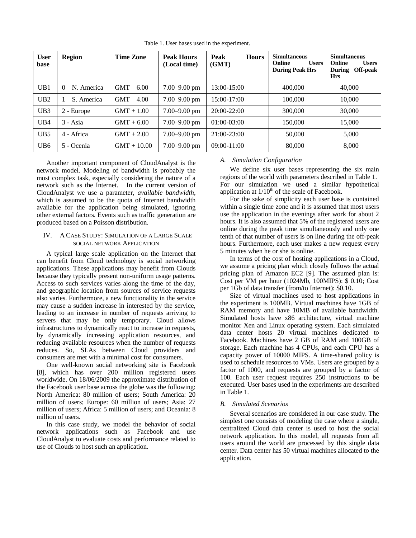| <b>User</b><br>base | <b>Region</b>     | <b>Time Zone</b> | <b>Peak Hours</b><br>(Local time) | Peak<br><b>Hours</b><br>(GMT) | <b>Simultaneous</b><br>Online<br><b>Users</b><br><b>During Peak Hrs</b> | <b>Simultaneous</b><br>Online<br><b>Users</b><br><b>During</b><br><b>Off-peak</b><br><b>Hrs</b> |
|---------------------|-------------------|------------------|-----------------------------------|-------------------------------|-------------------------------------------------------------------------|-------------------------------------------------------------------------------------------------|
| UB1                 | $0 - N$ . America | $GMT - 6.00$     | $7.00 - 9.00$ pm                  | 13:00-15:00                   | 400,000                                                                 | 40,000                                                                                          |
| UB2                 | $1 - S$ . America | $GMT - 4.00$     | $7.00 - 9.00$ pm                  | 15:00-17:00                   | 100,000                                                                 | 10,000                                                                                          |
| UB3                 | 2 - Europe        | $GMT + 1.00$     | $7.00 - 9.00$ pm                  | $20:00-22:00$                 | 300,000                                                                 | 30,000                                                                                          |
| UBA                 | $3 - Asia$        | $GMT + 6.00$     | $7.00 - 9.00$ pm                  | $01:00-03:00$                 | 150,000                                                                 | 15,000                                                                                          |
| UB <sub>5</sub>     | 4 - Africa        | $GMT + 2.00$     | $7.00 - 9.00$ pm                  | 21:00-23:00                   | 50,000                                                                  | 5,000                                                                                           |
| UB <sub>6</sub>     | 5 - Ocenia        | $GMT + 10.00$    | $7.00 - 9.00$ pm                  | 09:00-11:00                   | 80,000                                                                  | 8,000                                                                                           |

Table 1. User bases used in the experiment.

Another important component of CloudAnalyst is the network model. Modeling of bandwidth is probably the most complex task, especially considering the nature of a network such as the Internet. In the current version of CloudAnalyst we use a parameter, *available bandwidth*, which is assumed to be the quota of Internet bandwidth available for the application being simulated, ignoring other external factors. Events such as traffic generation are produced based on a Poisson distribution.

## IV. A CASE STUDY: SIMULATION OF A LARGE SCALE SOCIAL NETWORK APPLICATION

A typical large scale application on the Internet that can benefit from Cloud technology is social networking applications. These applications may benefit from Clouds because they typically present non-uniform usage patterns. Access to such services varies along the time of the day, and geographic location from sources of service requests also varies. Furthermore, a new functionality in the service may cause a sudden increase in interested by the service, leading to an increase in number of requests arriving to servers that may be only temporary. Cloud allows infrastructures to dynamically react to increase in requests, by dynamically increasing application resources, and reducing available resources when the number of requests reduces. So, SLAs between Cloud providers and consumers are met with a minimal cost for consumers.

One well-known social networking site is Facebook [\[8\],](#page-6-10) which has over 200 million registered users worldwide. On 18/06/2009 the approximate distribution of the Facebook user base across the globe was the following: North America: 80 million of users; South America: 20 million of users; Europe: 60 million of users; Asia: 27 million of users; Africa: 5 million of users; and Oceania: 8 million of users.

In this case study, we model the behavior of social network applications such as Facebook and use CloudAnalyst to evaluate costs and performance related to use of Clouds to host such an application.

## *A. Simulation Configuration*

We define six user bases representing the six main regions of the world with parameters described in Table 1. For our simulation we used a similar hypothetical application at  $1/10^{th}$  of the scale of Facebook.

For the sake of simplicity each user base is contained within a single time zone and it is assumed that most users use the application in the evenings after work for about 2 hours. It is also assumed that 5% of the registered users are online during the peak time simultaneously and only one tenth of that number of users is on line during the off-peak hours. Furthermore, each user makes a new request every 5 minutes when he or she is online.

In terms of the cost of hosting applications in a Cloud, we assume a pricing plan which closely follows the actual pricing plan of Amazon EC2 [\[9\].](#page-6-3) The assumed plan is: Cost per VM per hour (1024Mb, 100MIPS): \$ 0.10; Cost per 1Gb of data transfer (from/to Internet): \$0.10.

Size of virtual machines used to host applications in the experiment is 100MB. Virtual machines have 1GB of RAM memory and have 10MB of available bandwidth. Simulated hosts have x86 architecture, virtual machine monitor Xen and Linux operating system. Each simulated data center hosts 20 virtual machines dedicated to Facebook. Machines have 2 GB of RAM and 100GB of storage. Each machine has 4 CPUs, and each CPU has a capacity power of 10000 MIPS. A time-shared policy is used to schedule resources to VMs. Users are grouped by a factor of 1000, and requests are grouped by a factor of 100. Each user request requires 250 instructions to be executed. User bases used in the experiments are described in Table 1.

## *B. Simulated Scenarios*

Several scenarios are considered in our case study. The simplest one consists of modeling the case where a single, centralized Cloud data center is used to host the social network application. In this model, all requests from all users around the world are processed by this single data center. Data center has 50 virtual machines allocated to the application.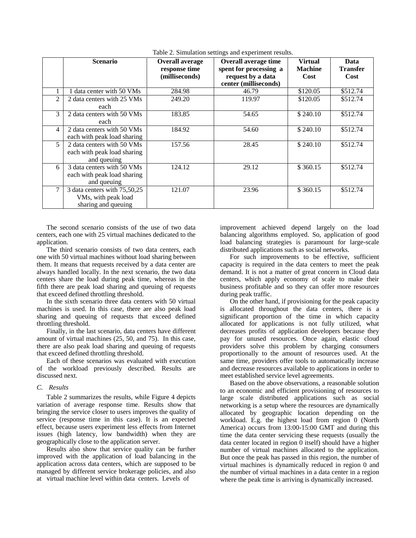|                | <b>Scenario</b>              | <b>Overall average</b> | <b>Overall average time</b> | <b>Virtual</b> | Data            |  |  |  |  |
|----------------|------------------------------|------------------------|-----------------------------|----------------|-----------------|--|--|--|--|
|                |                              | response time          | spent for processing a      | <b>Machine</b> | <b>Transfer</b> |  |  |  |  |
|                |                              | (milliseconds)         | request by a data           | Cost           | Cost            |  |  |  |  |
|                |                              |                        | center (milliseconds)       |                |                 |  |  |  |  |
|                | data center with 50 VMs      | 284.98                 | 46.79                       | \$120.05       | \$512.74        |  |  |  |  |
| $\mathfrak{D}$ | 2 data centers with 25 VMs   | 249.20                 | 119.97                      | \$120.05       | \$512.74        |  |  |  |  |
|                | each                         |                        |                             |                |                 |  |  |  |  |
| 3              | 2 data centers with 50 VMs   | 183.85                 | 54.65                       | \$240.10       | \$512.74        |  |  |  |  |
|                | each                         |                        |                             |                |                 |  |  |  |  |
| 4              | 2 data centers with 50 VMs   | 184.92                 | 54.60                       | \$240.10       | \$512.74        |  |  |  |  |
|                | each with peak load sharing  |                        |                             |                |                 |  |  |  |  |
| 5              | 2 data centers with 50 VMs   | 157.56                 | 28.45                       | \$240.10       | \$512.74        |  |  |  |  |
|                | each with peak load sharing  |                        |                             |                |                 |  |  |  |  |
|                | and queuing                  |                        |                             |                |                 |  |  |  |  |
| 6              | 3 data centers with 50 VMs   | 124.12                 | 29.12                       | \$360.15       | \$512.74        |  |  |  |  |
|                | each with peak load sharing  |                        |                             |                |                 |  |  |  |  |
|                | and queuing                  |                        |                             |                |                 |  |  |  |  |
| 7              | 3 data centers with 75,50,25 | 121.07                 | 23.96                       | \$360.15       | \$512.74        |  |  |  |  |
|                | VMs, with peak load          |                        |                             |                |                 |  |  |  |  |
|                | sharing and queuing          |                        |                             |                |                 |  |  |  |  |

Table 2. Simulation settings and experiment results.

The second scenario consists of the use of two data centers, each one with 25 virtual machines dedicated to the application.

The third scenario consists of two data centers, each one with 50 virtual machines without load sharing between them. It means that requests received by a data center are always handled locally. In the next scenario, the two data centers share the load during peak time, whereas in the fifth there are peak load sharing and queuing of requests that exceed defined throttling threshold.

In the sixth scenario three data centers with 50 virtual machines is used. In this case, there are also peak load sharing and queuing of requests that exceed defined throttling threshold.

Finally, in the last scenario, data centers have different amount of virtual machines (25, 50, and 75). In this case, there are also peak load sharing and queuing of requests that exceed defined throttling threshold.

Each of these scenarios was evaluated with execution of the workload previously described. Results are discussed next.

#### *C. Results*

Table 2 summarizes the results, while Figure 4 depicts variation of average response time. Results show that bringing the service closer to users improves the quality of service (response time in this case). It is an expected effect, because users experiment less effects from Internet issues (high latency, low bandwidth) when they are geographically close to the application server.

Results also show that service quality can be further improved with the application of load balancing in the application across data centers, which are supposed to be managed by different service brokerage policies, and also at virtual machine level within data centers. Levels of

improvement achieved depend largely on the load balancing algorithms employed. So, application of good load balancing strategies is paramount for large-scale distributed applications such as social networks.

For such improvements to be effective, sufficient capacity is required in the data centers to meet the peak demand. It is not a matter of great concern in Cloud data centers, which apply economy of scale to make their business profitable and so they can offer more resources during peak traffic.

On the other hand, if provisioning for the peak capacity is allocated throughout the data centers, there is a significant proportion of the time in which capacity allocated for applications is not fully utilized, what decreases profits of application developers because they pay for unused resources. Once again, elastic cloud providers solve this problem by charging consumers proportionally to the amount of resources used. At the same time, providers offer tools to automatically increase and decrease resources available to applications in order to meet established service level agreements.

Based on the above observations, a reasonable solution to an economic and efficient provisioning of resources to large scale distributed applications such as social networking is a setup where the resources are dynamically allocated by geographic location depending on the workload. E.g. the highest load from region 0 (North America) occurs from 13:00-15:00 GMT and during this time the data center servicing these requests (usually the data center located in region 0 itself) should have a higher number of virtual machines allocated to the application. But once the peak has passed in this region, the number of virtual machines is dynamically reduced in region 0 and the number of virtual machines in a data center in a region where the peak time is arriving is dynamically increased.